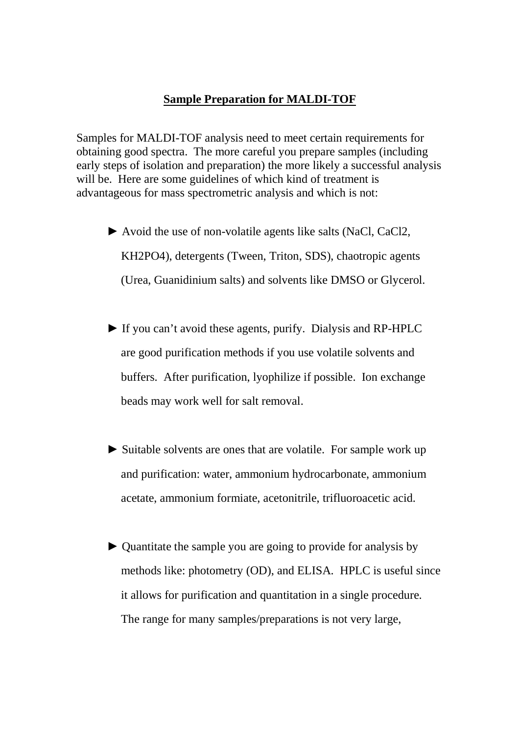## **Sample Preparation for MALDI-TOF**

Samples for MALDI-TOF analysis need to meet certain requirements for obtaining good spectra. The more careful you prepare samples (including early steps of isolation and preparation) the more likely a successful analysis will be. Here are some guidelines of which kind of treatment is advantageous for mass spectrometric analysis and which is not:

- ► Avoid the use of non-volatile agents like salts (NaCl, CaCl2, KH2PO4), detergents (Tween, Triton, SDS), chaotropic agents (Urea, Guanidinium salts) and solvents like DMSO or Glycerol.
- ► If you can't avoid these agents, purify. Dialysis and RP-HPLC are good purification methods if you use volatile solvents and buffers. After purification, lyophilize if possible. Ion exchange beads may work well for salt removal.
- ► Suitable solvents are ones that are volatile. For sample work up and purification: water, ammonium hydrocarbonate, ammonium acetate, ammonium formiate, acetonitrile, trifluoroacetic acid.
- ► Quantitate the sample you are going to provide for analysis by methods like: photometry (OD), and ELISA. HPLC is useful since it allows for purification and quantitation in a single procedure. The range for many samples/preparations is not very large,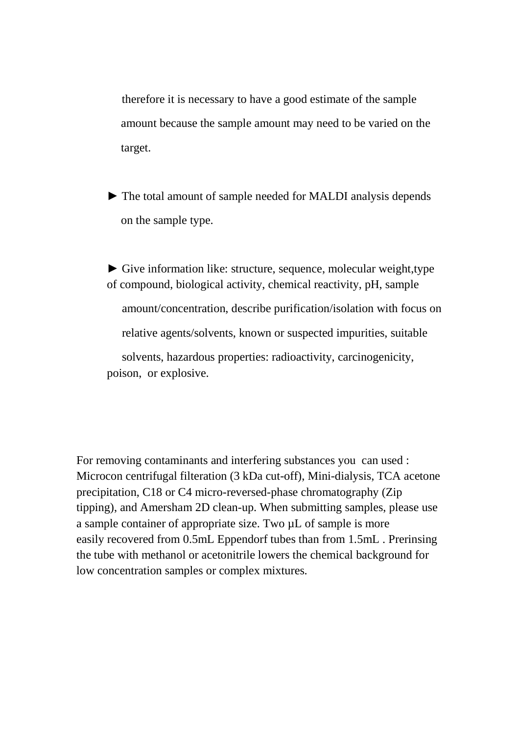therefore it is necessary to have a good estimate of the sample amount because the sample amount may need to be varied on the target.

► The total amount of sample needed for MALDI analysis depends on the sample type.

► Give information like: structure, sequence, molecular weight,type of compound, biological activity, chemical reactivity, pH, sample amount/concentration, describe purification/isolation with focus on relative agents/solvents, known or suspected impurities, suitable solvents, hazardous properties: radioactivity, carcinogenicity, poison, or explosive.

For removing contaminants and interfering substances you can used : Microcon centrifugal filteration (3 kDa cut-off), Mini-dialysis, TCA acetone precipitation, C18 or C4 micro-reversed-phase chromatography (Zip tipping), and Amersham 2D clean-up. When submitting samples, please use a sample container of appropriate size. Two µL of sample is more easily recovered from 0.5mL Eppendorf tubes than from 1.5mL . Prerinsing the tube with methanol or acetonitrile lowers the chemical background for low concentration samples or complex mixtures.